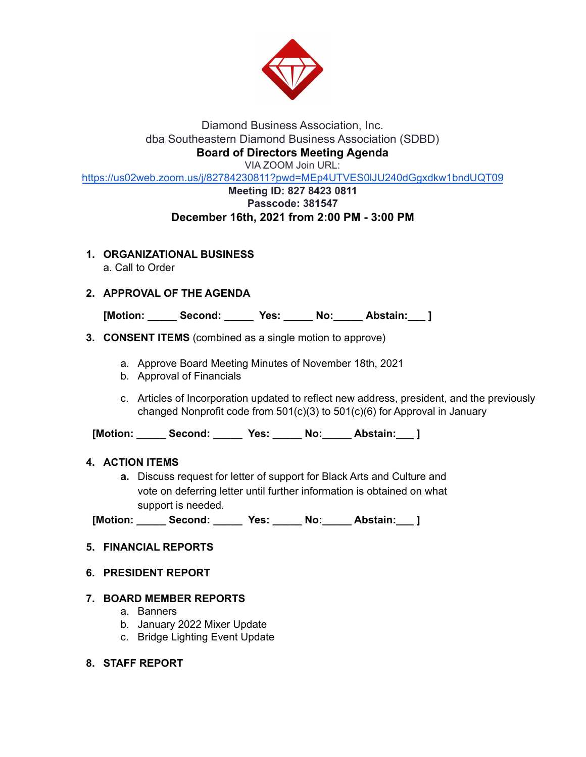

# Diamond Business Association, Inc. dba Southeastern Diamond Business Association (SDBD) **Board of Directors Meeting Agenda**

VIA ZOOM Join URL:

<https://us02web.zoom.us/j/82784230811?pwd=MEp4UTVES0lJU240dGgxdkw1bndUQT09>

## **Meeting ID: 827 8423 0811 Passcode: 381547 December 16th, 2021 from 2:00 PM - 3:00 PM**

**1. ORGANIZATIONAL BUSINESS**

a. Call to Order

# **2. APPROVAL OF THE AGENDA**

**[Motion: \_\_\_\_\_ Second: \_\_\_\_\_ Yes: \_\_\_\_\_ No:\_\_\_\_\_ Abstain:\_\_\_ ]**

## **3. CONSENT ITEMS** (combined as a single motion to approve)

- a. Approve Board Meeting Minutes of November 18th, 2021
- b. Approval of Financials
- c. Articles of Incorporation updated to reflect new address, president, and the previously changed Nonprofit code from 501(c)(3) to 501(c)(6) for Approval in January

**[Motion: \_\_\_\_\_ Second: \_\_\_\_\_ Yes: \_\_\_\_\_ No:\_\_\_\_\_ Abstain:\_\_\_ ]**

#### **4. ACTION ITEMS**

**a.** Discuss request for letter of support for Black Arts and Culture and vote on deferring letter until further information is obtained on what support is needed.

**[Motion: \_\_\_\_\_ Second: \_\_\_\_\_ Yes: \_\_\_\_\_ No:\_\_\_\_\_ Abstain:\_\_\_ ]**

# **5. FINANCIAL REPORTS**

#### **6. PRESIDENT REPORT**

#### **7. BOARD MEMBER REPORTS**

- a. Banners
- b. January 2022 Mixer Update
- c. Bridge Lighting Event Update
- **8. STAFF REPORT**